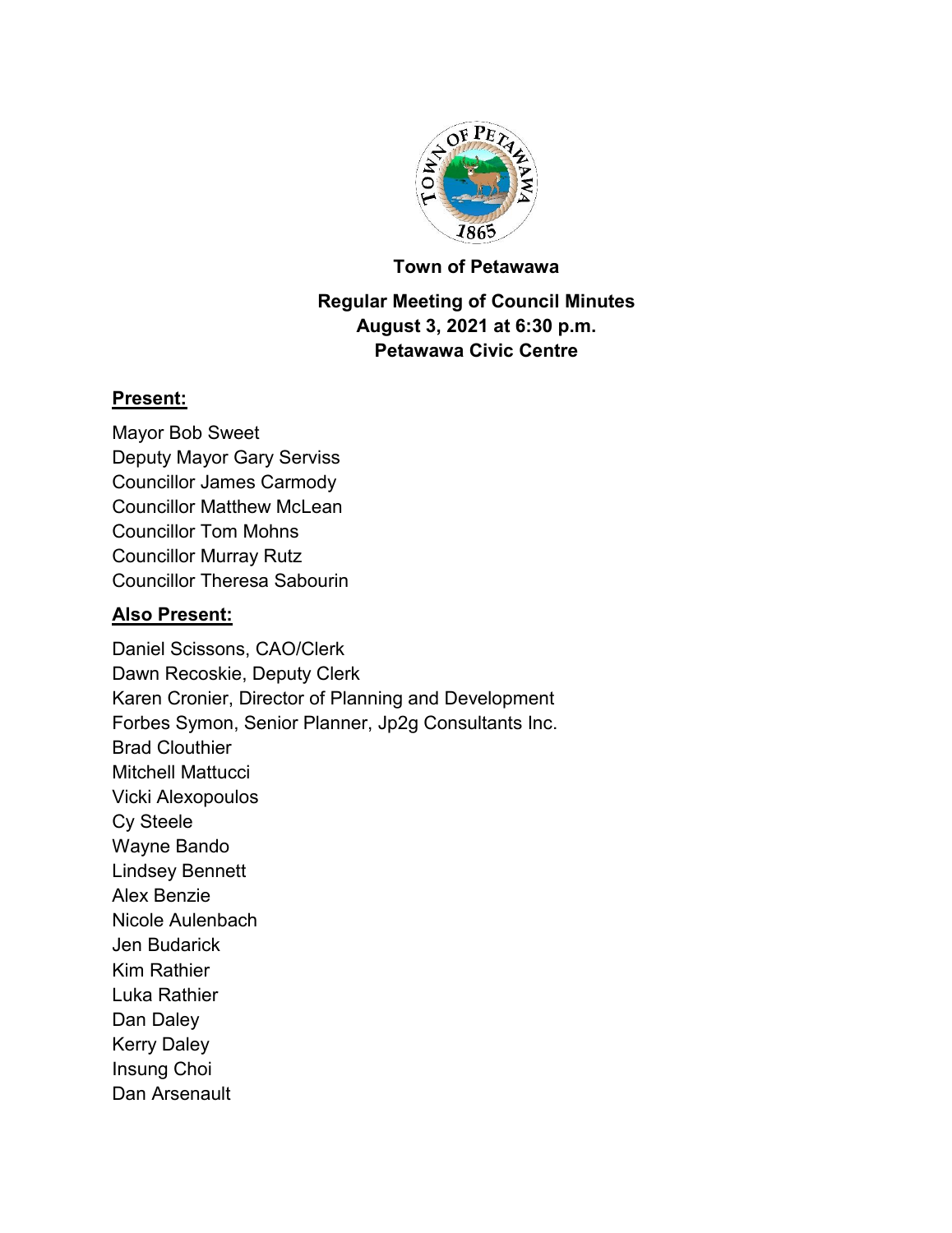

#### **Town of Petawawa**

# **Regular Meeting of Council Minutes August 3, 2021 at 6:30 p.m. Petawawa Civic Centre**

#### **Present:**

Mayor Bob Sweet Deputy Mayor Gary Serviss Councillor James Carmody Councillor Matthew McLean Councillor Tom Mohns Councillor Murray Rutz Councillor Theresa Sabourin

#### **Also Present:**

Daniel Scissons, CAO/Clerk Dawn Recoskie, Deputy Clerk Karen Cronier, Director of Planning and Development Forbes Symon, Senior Planner, Jp2g Consultants Inc. Brad Clouthier Mitchell Mattucci Vicki Alexopoulos Cy Steele Wayne Bando Lindsey Bennett Alex Benzie Nicole Aulenbach Jen Budarick Kim Rathier Luka Rathier Dan Daley Kerry Daley Insung Choi Dan Arsenault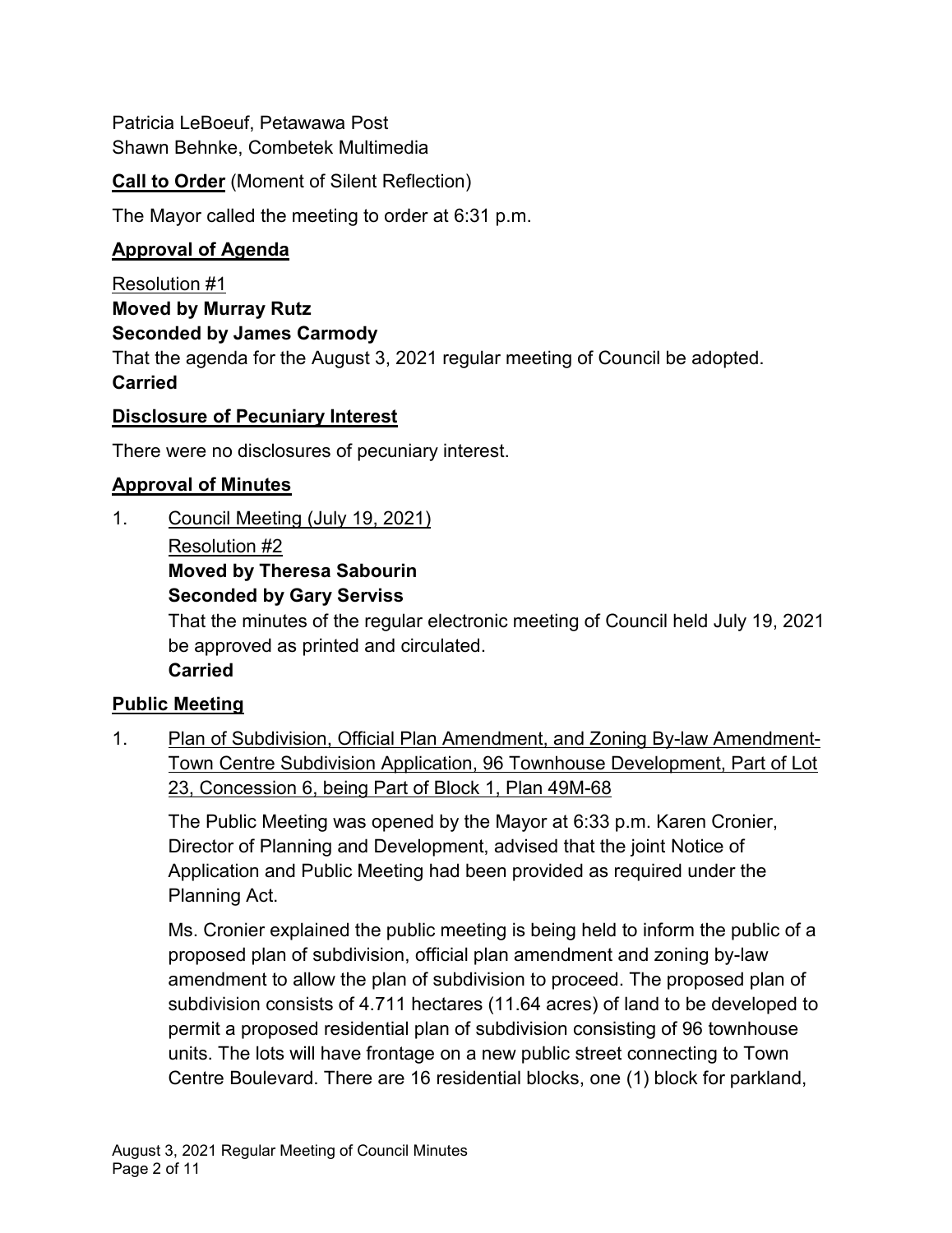Patricia LeBoeuf, Petawawa Post Shawn Behnke, Combetek Multimedia

**Call to Order** (Moment of Silent Reflection)

The Mayor called the meeting to order at 6:31 p.m.

# **Approval of Agenda**

Resolution #1 **Moved by Murray Rutz Seconded by James Carmody** That the agenda for the August 3, 2021 regular meeting of Council be adopted.

#### **Carried**

### **Disclosure of Pecuniary Interest**

There were no disclosures of pecuniary interest.

### **Approval of Minutes**

1. Council Meeting (July 19, 2021)

#### Resolution #2

# **Moved by Theresa Sabourin**

**Seconded by Gary Serviss**

That the minutes of the regular electronic meeting of Council held July 19, 2021 be approved as printed and circulated.

**Carried**

# **Public Meeting**

1. Plan of Subdivision, Official Plan Amendment, and Zoning By-law Amendment-Town Centre Subdivision Application, 96 Townhouse Development, Part of Lot 23, Concession 6, being Part of Block 1, Plan 49M-68

The Public Meeting was opened by the Mayor at 6:33 p.m. Karen Cronier, Director of Planning and Development, advised that the joint Notice of Application and Public Meeting had been provided as required under the Planning Act.

Ms. Cronier explained the public meeting is being held to inform the public of a proposed plan of subdivision, official plan amendment and zoning by-law amendment to allow the plan of subdivision to proceed. The proposed plan of subdivision consists of 4.711 hectares (11.64 acres) of land to be developed to permit a proposed residential plan of subdivision consisting of 96 townhouse units. The lots will have frontage on a new public street connecting to Town Centre Boulevard. There are 16 residential blocks, one (1) block for parkland,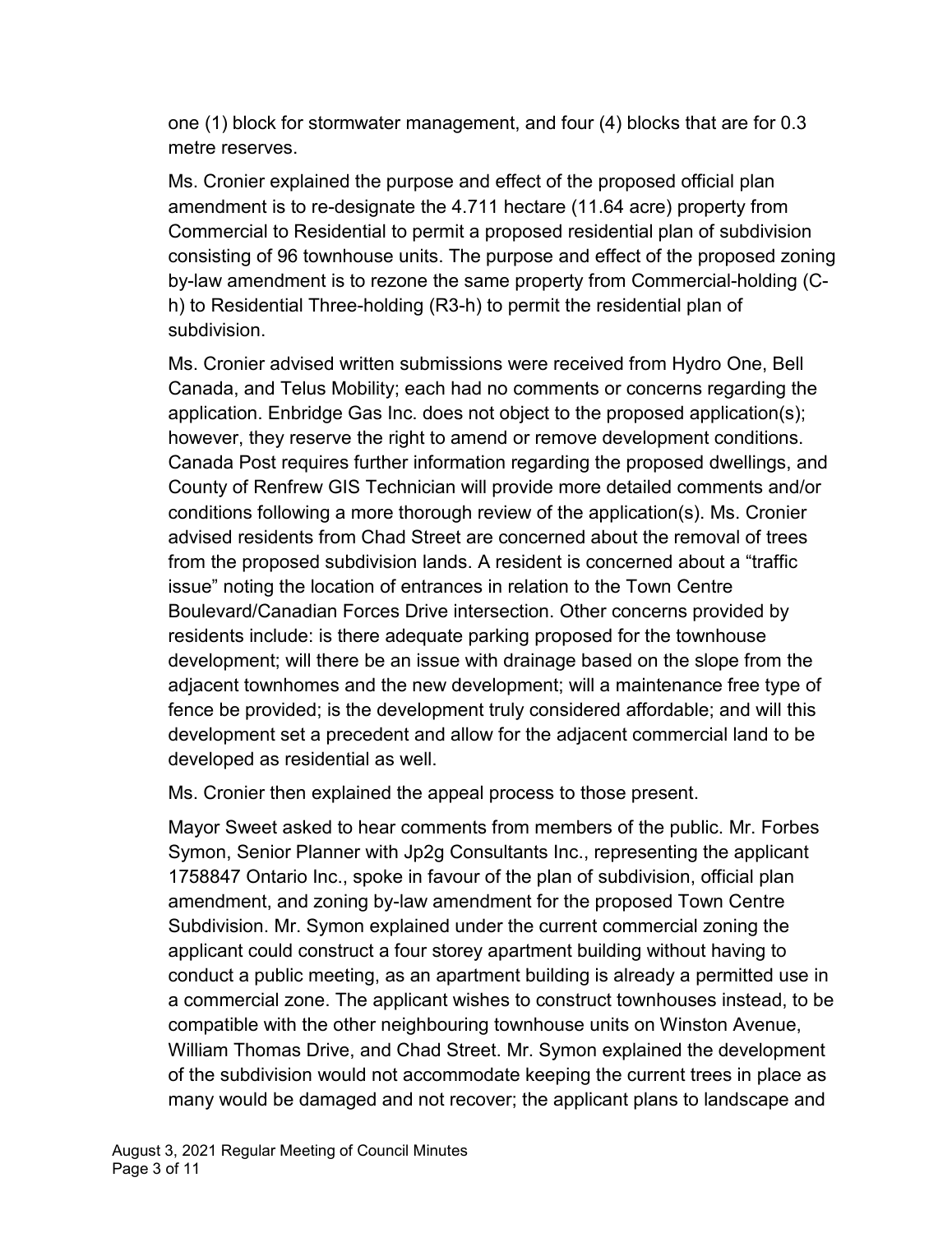one (1) block for stormwater management, and four (4) blocks that are for 0.3 metre reserves.

Ms. Cronier explained the purpose and effect of the proposed official plan amendment is to re-designate the 4.711 hectare (11.64 acre) property from Commercial to Residential to permit a proposed residential plan of subdivision consisting of 96 townhouse units. The purpose and effect of the proposed zoning by-law amendment is to rezone the same property from Commercial-holding (Ch) to Residential Three-holding (R3-h) to permit the residential plan of subdivision.

Ms. Cronier advised written submissions were received from Hydro One, Bell Canada, and Telus Mobility; each had no comments or concerns regarding the application. Enbridge Gas Inc. does not object to the proposed application(s); however, they reserve the right to amend or remove development conditions. Canada Post requires further information regarding the proposed dwellings, and County of Renfrew GIS Technician will provide more detailed comments and/or conditions following a more thorough review of the application(s). Ms. Cronier advised residents from Chad Street are concerned about the removal of trees from the proposed subdivision lands. A resident is concerned about a "traffic issue" noting the location of entrances in relation to the Town Centre Boulevard/Canadian Forces Drive intersection. Other concerns provided by residents include: is there adequate parking proposed for the townhouse development; will there be an issue with drainage based on the slope from the adjacent townhomes and the new development; will a maintenance free type of fence be provided; is the development truly considered affordable; and will this development set a precedent and allow for the adjacent commercial land to be developed as residential as well.

Ms. Cronier then explained the appeal process to those present.

Mayor Sweet asked to hear comments from members of the public. Mr. Forbes Symon, Senior Planner with Jp2g Consultants Inc., representing the applicant 1758847 Ontario Inc., spoke in favour of the plan of subdivision, official plan amendment, and zoning by-law amendment for the proposed Town Centre Subdivision. Mr. Symon explained under the current commercial zoning the applicant could construct a four storey apartment building without having to conduct a public meeting, as an apartment building is already a permitted use in a commercial zone. The applicant wishes to construct townhouses instead, to be compatible with the other neighbouring townhouse units on Winston Avenue, William Thomas Drive, and Chad Street. Mr. Symon explained the development of the subdivision would not accommodate keeping the current trees in place as many would be damaged and not recover; the applicant plans to landscape and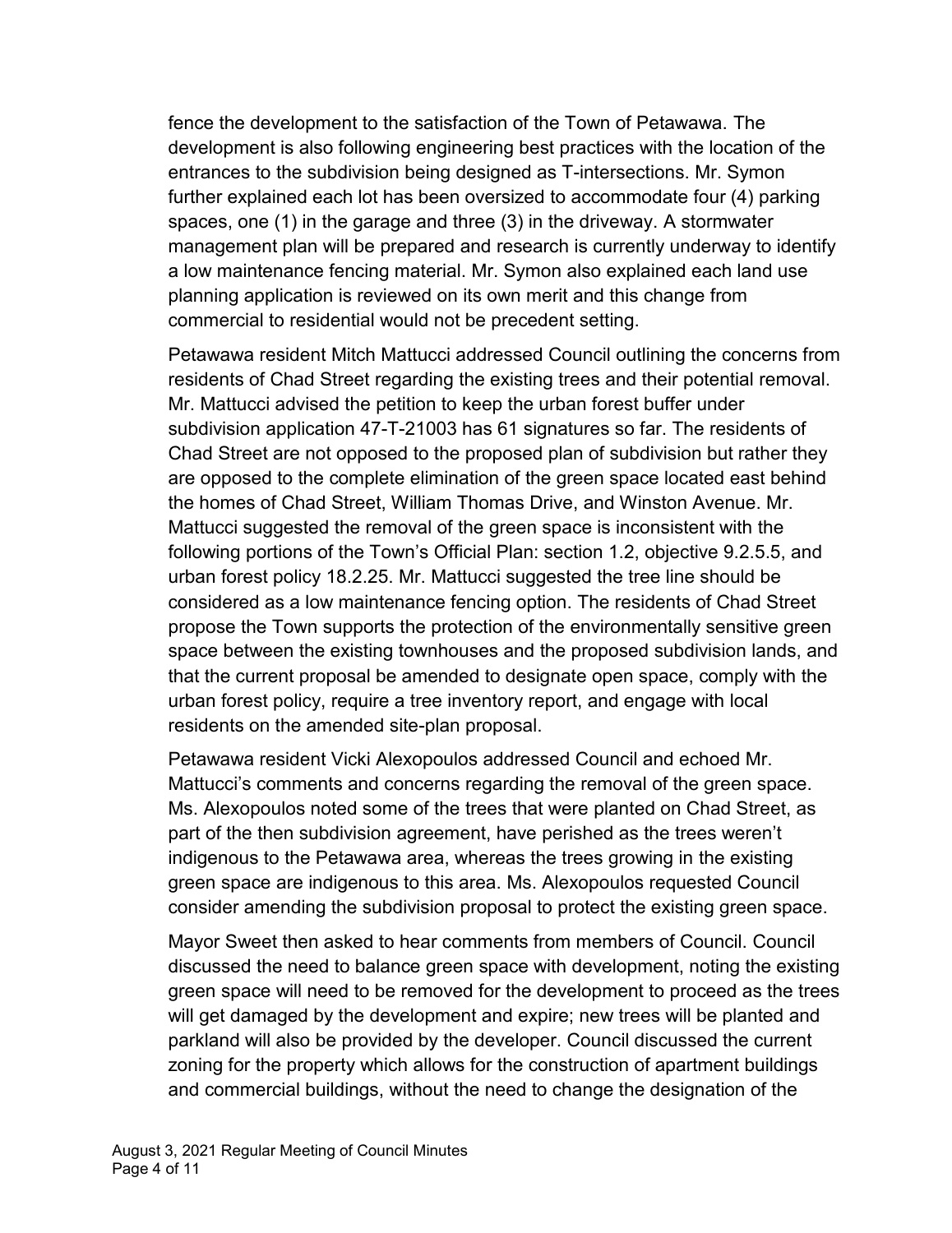fence the development to the satisfaction of the Town of Petawawa. The development is also following engineering best practices with the location of the entrances to the subdivision being designed as T-intersections. Mr. Symon further explained each lot has been oversized to accommodate four (4) parking spaces, one (1) in the garage and three (3) in the driveway. A stormwater management plan will be prepared and research is currently underway to identify a low maintenance fencing material. Mr. Symon also explained each land use planning application is reviewed on its own merit and this change from commercial to residential would not be precedent setting.

Petawawa resident Mitch Mattucci addressed Council outlining the concerns from residents of Chad Street regarding the existing trees and their potential removal. Mr. Mattucci advised the petition to keep the urban forest buffer under subdivision application 47-T-21003 has 61 signatures so far. The residents of Chad Street are not opposed to the proposed plan of subdivision but rather they are opposed to the complete elimination of the green space located east behind the homes of Chad Street, William Thomas Drive, and Winston Avenue. Mr. Mattucci suggested the removal of the green space is inconsistent with the following portions of the Town's Official Plan: section 1.2, objective 9.2.5.5, and urban forest policy 18.2.25. Mr. Mattucci suggested the tree line should be considered as a low maintenance fencing option. The residents of Chad Street propose the Town supports the protection of the environmentally sensitive green space between the existing townhouses and the proposed subdivision lands, and that the current proposal be amended to designate open space, comply with the urban forest policy, require a tree inventory report, and engage with local residents on the amended site-plan proposal.

Petawawa resident Vicki Alexopoulos addressed Council and echoed Mr. Mattucci's comments and concerns regarding the removal of the green space. Ms. Alexopoulos noted some of the trees that were planted on Chad Street, as part of the then subdivision agreement, have perished as the trees weren't indigenous to the Petawawa area, whereas the trees growing in the existing green space are indigenous to this area. Ms. Alexopoulos requested Council consider amending the subdivision proposal to protect the existing green space.

Mayor Sweet then asked to hear comments from members of Council. Council discussed the need to balance green space with development, noting the existing green space will need to be removed for the development to proceed as the trees will get damaged by the development and expire; new trees will be planted and parkland will also be provided by the developer. Council discussed the current zoning for the property which allows for the construction of apartment buildings and commercial buildings, without the need to change the designation of the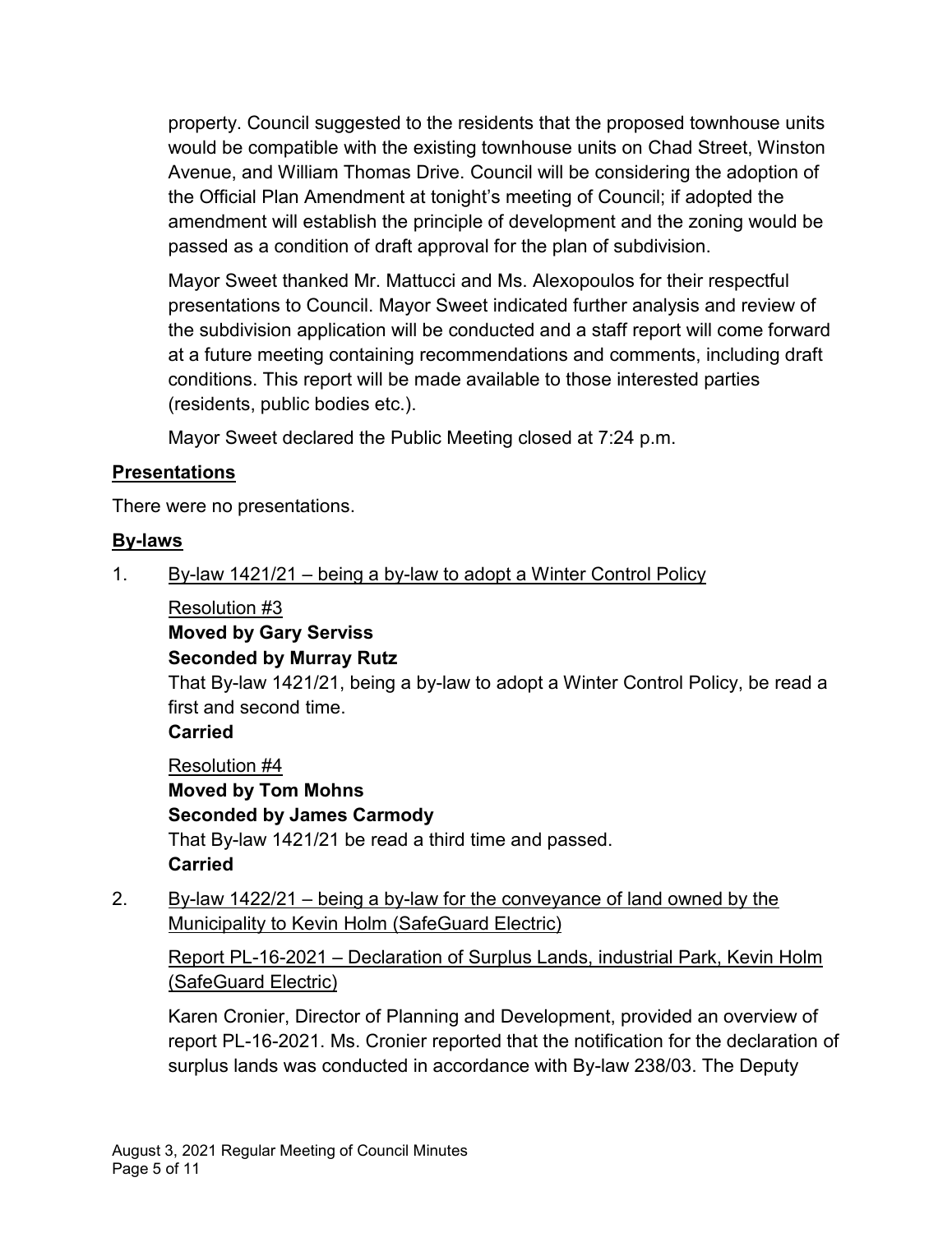property. Council suggested to the residents that the proposed townhouse units would be compatible with the existing townhouse units on Chad Street, Winston Avenue, and William Thomas Drive. Council will be considering the adoption of the Official Plan Amendment at tonight's meeting of Council; if adopted the amendment will establish the principle of development and the zoning would be passed as a condition of draft approval for the plan of subdivision.

Mayor Sweet thanked Mr. Mattucci and Ms. Alexopoulos for their respectful presentations to Council. Mayor Sweet indicated further analysis and review of the subdivision application will be conducted and a staff report will come forward at a future meeting containing recommendations and comments, including draft conditions. This report will be made available to those interested parties (residents, public bodies etc.).

Mayor Sweet declared the Public Meeting closed at 7:24 p.m.

### **Presentations**

There were no presentations.

# **By-laws**

1. By-law 1421/21 – being a by-law to adopt a Winter Control Policy

Resolution #3

**Moved by Gary Serviss**

**Seconded by Murray Rutz**

That By-law 1421/21, being a by-law to adopt a Winter Control Policy, be read a first and second time.

# **Carried**

Resolution #4 **Moved by Tom Mohns Seconded by James Carmody** That By-law 1421/21 be read a third time and passed. **Carried**

2. By-law 1422/21 – being a by-law for the conveyance of land owned by the Municipality to Kevin Holm (SafeGuard Electric)

Report PL-16-2021 – Declaration of Surplus Lands, industrial Park, Kevin Holm (SafeGuard Electric)

Karen Cronier, Director of Planning and Development, provided an overview of report PL-16-2021. Ms. Cronier reported that the notification for the declaration of surplus lands was conducted in accordance with By-law 238/03. The Deputy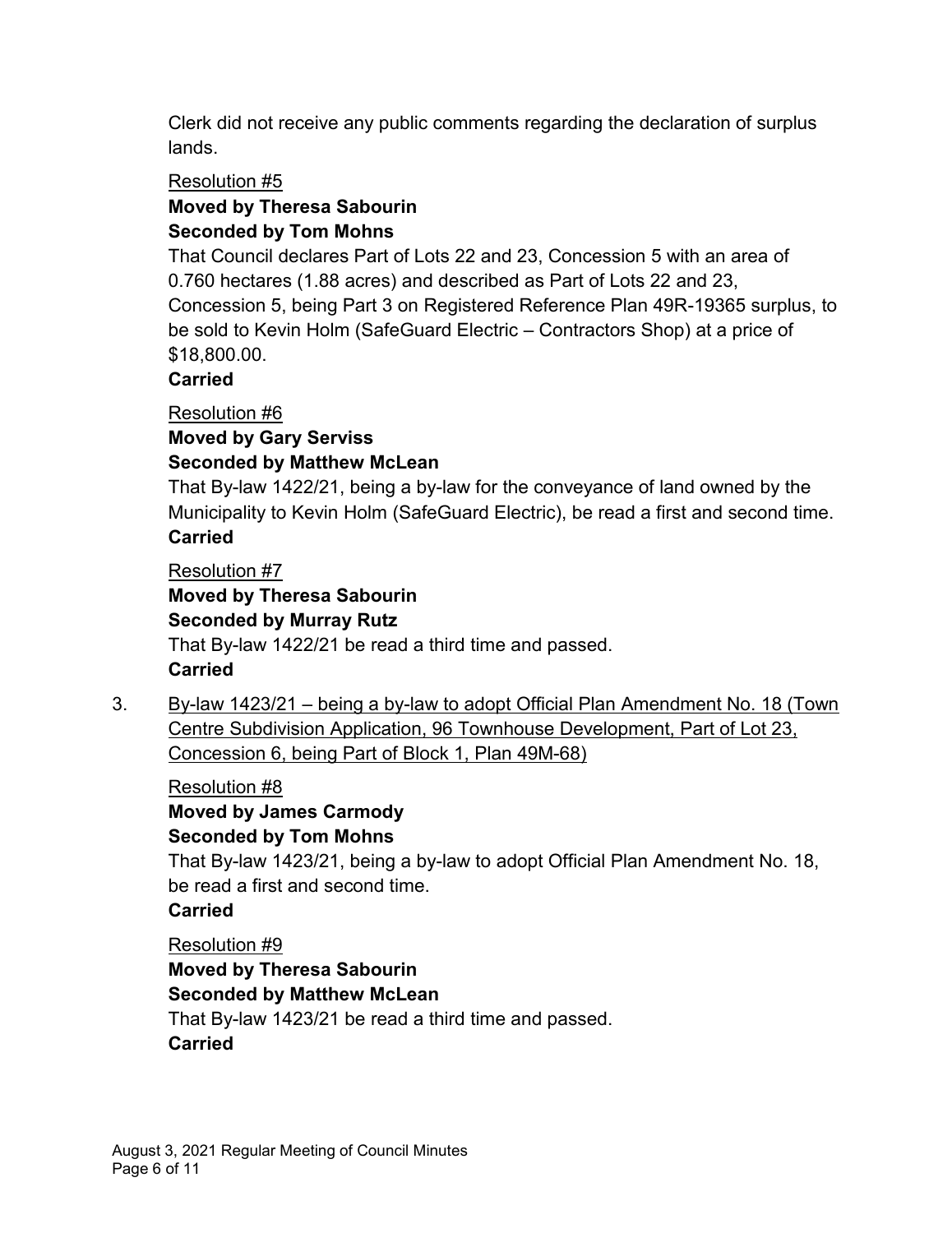Clerk did not receive any public comments regarding the declaration of surplus lands.

### Resolution #5

# **Moved by Theresa Sabourin**

# **Seconded by Tom Mohns**

That Council declares Part of Lots 22 and 23, Concession 5 with an area of 0.760 hectares (1.88 acres) and described as Part of Lots 22 and 23, Concession 5, being Part 3 on Registered Reference Plan 49R-19365 surplus, to be sold to Kevin Holm (SafeGuard Electric – Contractors Shop) at a price of \$18,800.00.

### **Carried**

Resolution #6

#### **Moved by Gary Serviss Seconded by Matthew McLean**

That By-law 1422/21, being a by-law for the conveyance of land owned by the Municipality to Kevin Holm (SafeGuard Electric), be read a first and second time. **Carried**

# Resolution #7

# **Moved by Theresa Sabourin Seconded by Murray Rutz** That By-law 1422/21 be read a third time and passed. **Carried**

3. By-law 1423/21 – being a by-law to adopt Official Plan Amendment No. 18 (Town Centre Subdivision Application, 96 Townhouse Development, Part of Lot 23, Concession 6, being Part of Block 1, Plan 49M-68)

Resolution #8 **Moved by James Carmody Seconded by Tom Mohns**

That By-law 1423/21, being a by-law to adopt Official Plan Amendment No. 18, be read a first and second time.

**Carried**

Resolution #9 **Moved by Theresa Sabourin Seconded by Matthew McLean** That By-law 1423/21 be read a third time and passed. **Carried**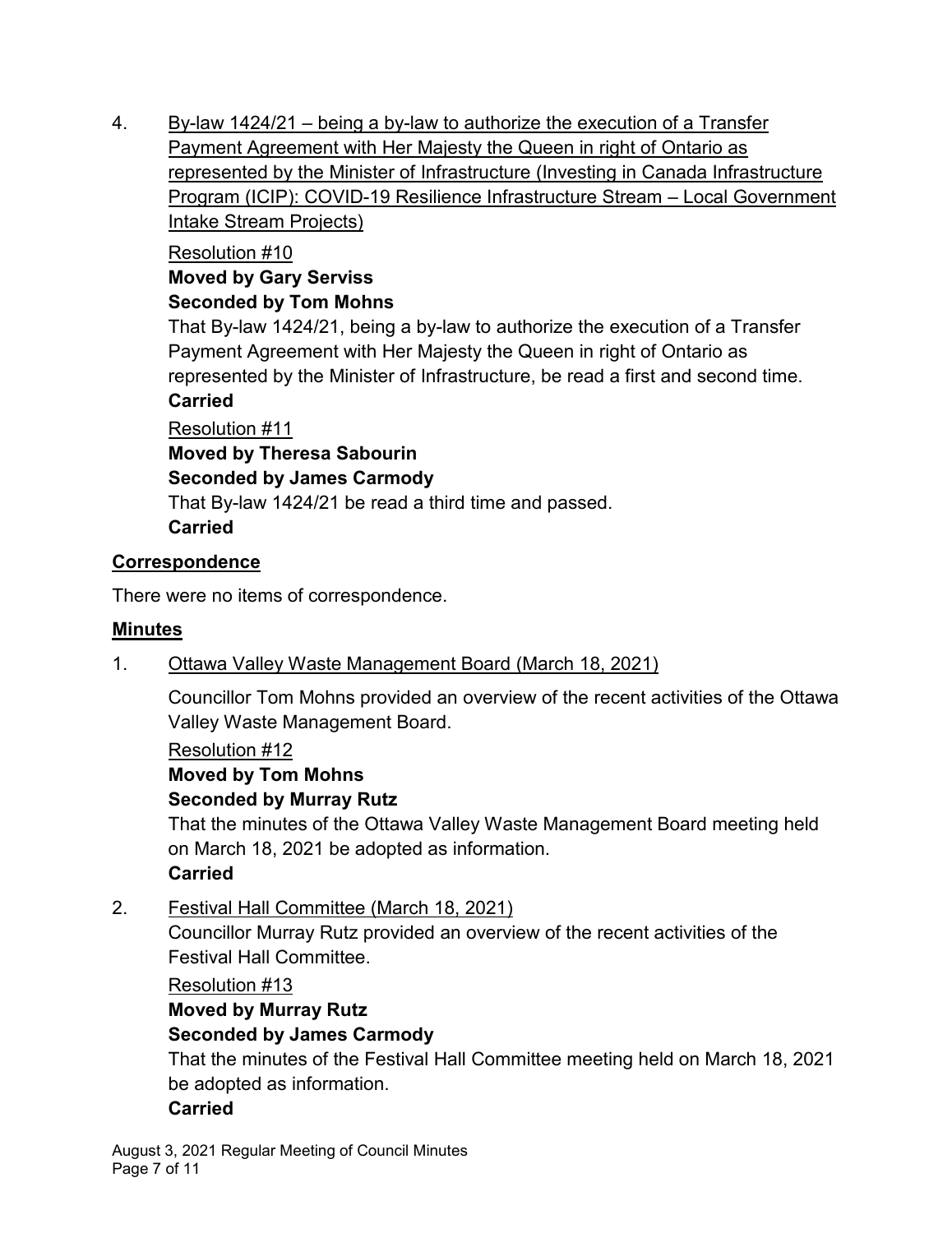4. By-law 1424/21 – being a by-law to authorize the execution of a Transfer Payment Agreement with Her Majesty the Queen in right of Ontario as represented by the Minister of Infrastructure (Investing in Canada Infrastructure Program (ICIP): COVID-19 Resilience Infrastructure Stream – Local Government Intake Stream Projects)

### Resolution #10

#### **Moved by Gary Serviss Seconded by Tom Mohns**

That By-law 1424/21, being a by-law to authorize the execution of a Transfer Payment Agreement with Her Majesty the Queen in right of Ontario as represented by the Minister of Infrastructure, be read a first and second time.

### **Carried**

Resolution #11

**Moved by Theresa Sabourin**

### **Seconded by James Carmody**

That By-law 1424/21 be read a third time and passed. **Carried**

### **Correspondence**

There were no items of correspondence.

#### **Minutes**

# 1. Ottawa Valley Waste Management Board (March 18, 2021)

Councillor Tom Mohns provided an overview of the recent activities of the Ottawa Valley Waste Management Board.

#### Resolution #12

# **Moved by Tom Mohns**

# **Seconded by Murray Rutz**

That the minutes of the Ottawa Valley Waste Management Board meeting held on March 18, 2021 be adopted as information.

# **Carried**

2. Festival Hall Committee (March 18, 2021)

Councillor Murray Rutz provided an overview of the recent activities of the Festival Hall Committee.

# Resolution #13

# **Moved by Murray Rutz Seconded by James Carmody**

That the minutes of the Festival Hall Committee meeting held on March 18, 2021 be adopted as information.

# **Carried**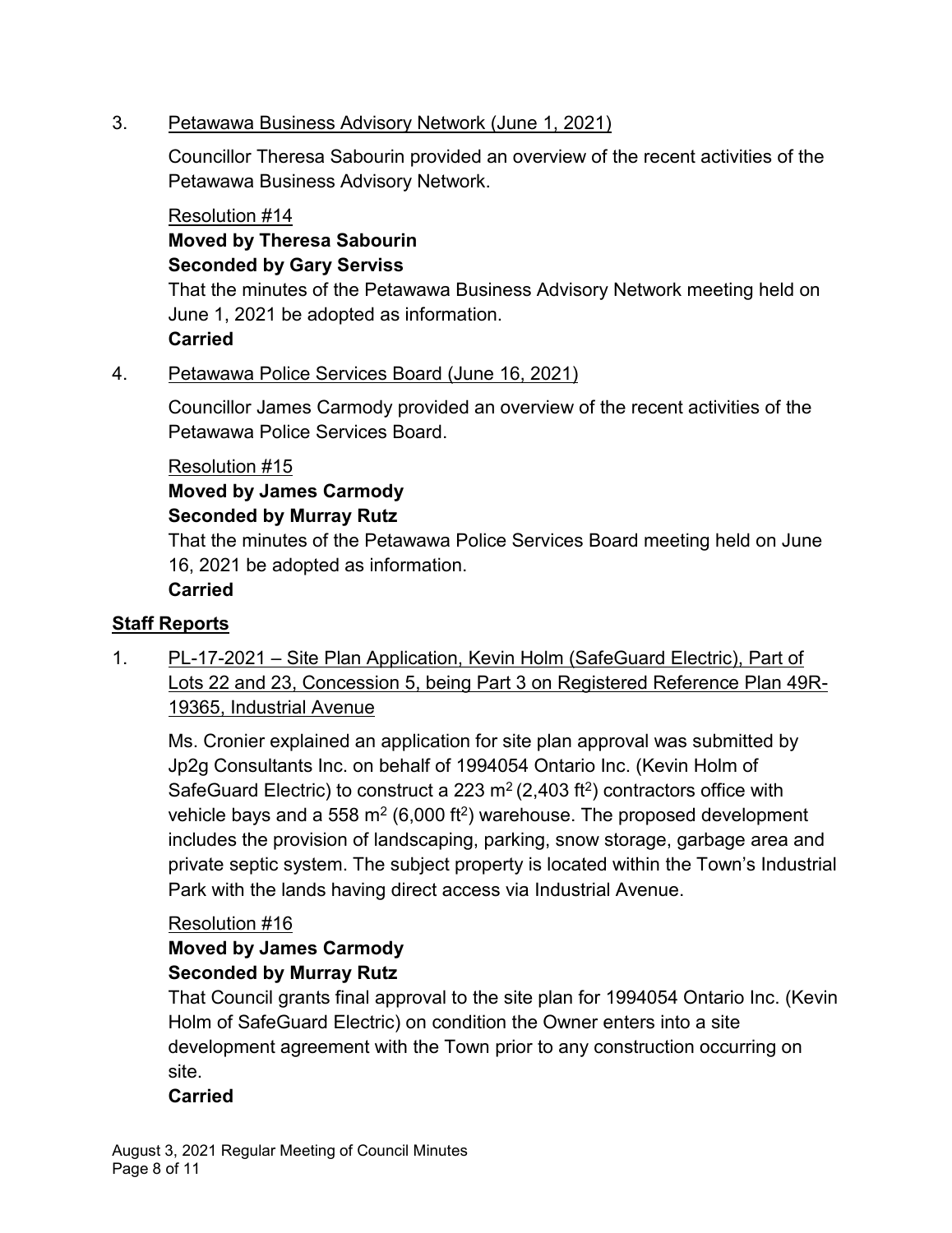#### 3. Petawawa Business Advisory Network (June 1, 2021)

Councillor Theresa Sabourin provided an overview of the recent activities of the Petawawa Business Advisory Network.

#### Resolution #14

## **Moved by Theresa Sabourin Seconded by Gary Serviss**

That the minutes of the Petawawa Business Advisory Network meeting held on June 1, 2021 be adopted as information.

# **Carried**

# 4. Petawawa Police Services Board (June 16, 2021)

Councillor James Carmody provided an overview of the recent activities of the Petawawa Police Services Board.

### Resolution #15

#### **Moved by James Carmody Seconded by Murray Rutz**

That the minutes of the Petawawa Police Services Board meeting held on June 16, 2021 be adopted as information.

# **Carried**

# **Staff Reports**

1. PL-17-2021 – Site Plan Application, Kevin Holm (SafeGuard Electric), Part of Lots 22 and 23, Concession 5, being Part 3 on Registered Reference Plan 49R-19365, Industrial Avenue

Ms. Cronier explained an application for site plan approval was submitted by Jp2g Consultants Inc. on behalf of 1994054 Ontario Inc. (Kevin Holm of SafeGuard Electric) to construct a 223 m<sup>2</sup> (2,403 ft<sup>2</sup>) contractors office with vehicle bays and a 558 m<sup>2</sup> (6,000 ft<sup>2</sup>) warehouse. The proposed development includes the provision of landscaping, parking, snow storage, garbage area and private septic system. The subject property is located within the Town's Industrial Park with the lands having direct access via Industrial Avenue.

# Resolution #16

#### **Moved by James Carmody Seconded by Murray Rutz**

That Council grants final approval to the site plan for 1994054 Ontario Inc. (Kevin Holm of SafeGuard Electric) on condition the Owner enters into a site development agreement with the Town prior to any construction occurring on site.

# **Carried**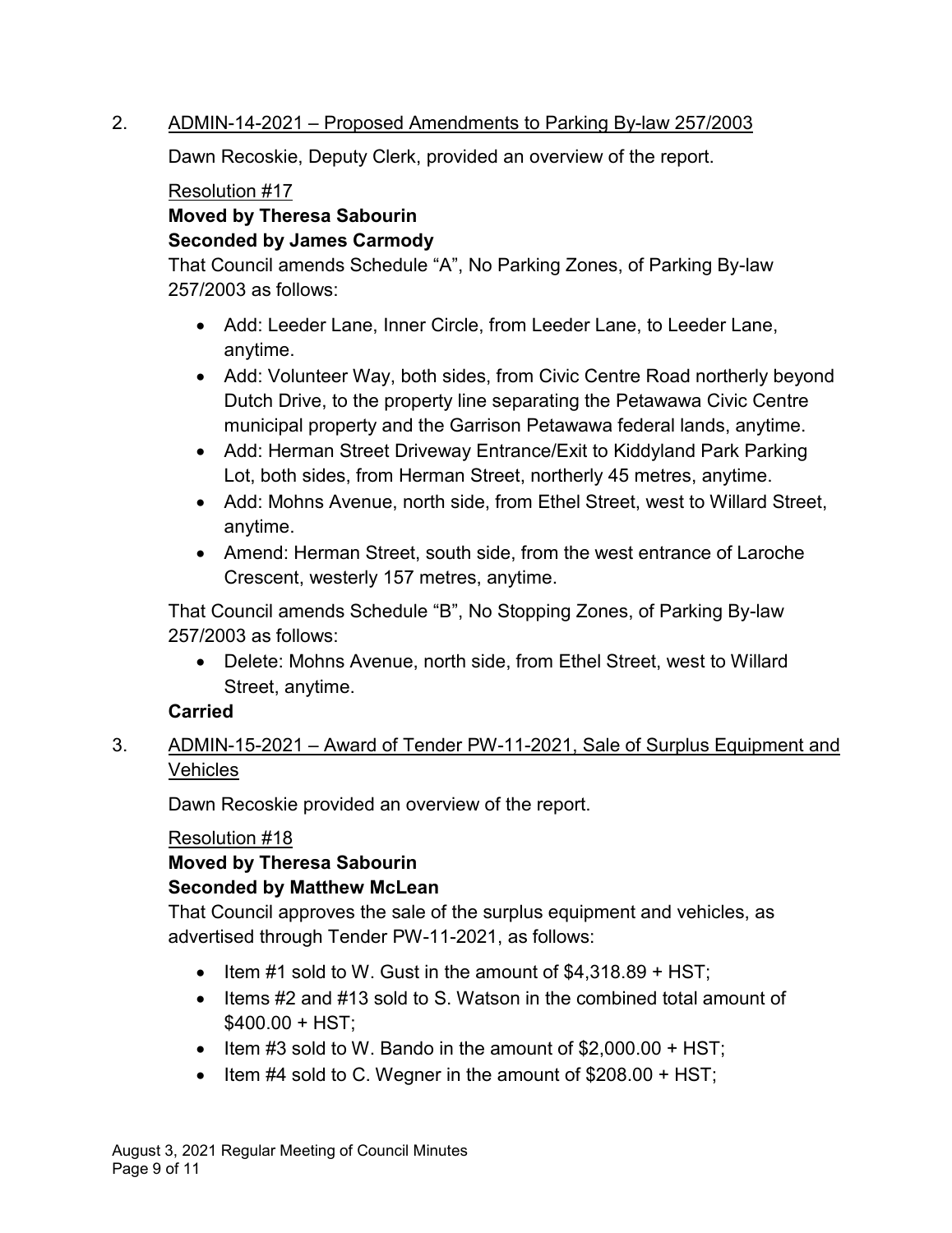#### 2. ADMIN-14-2021 – Proposed Amendments to Parking By-law 257/2003

Dawn Recoskie, Deputy Clerk, provided an overview of the report.

### Resolution #17

### **Moved by Theresa Sabourin Seconded by James Carmody**

That Council amends Schedule "A", No Parking Zones, of Parking By-law 257/2003 as follows:

- · Add: Leeder Lane, Inner Circle, from Leeder Lane, to Leeder Lane, anytime.
- Add: Volunteer Way, both sides, from Civic Centre Road northerly beyond Dutch Drive, to the property line separating the Petawawa Civic Centre municipal property and the Garrison Petawawa federal lands, anytime.
- Add: Herman Street Driveway Entrance/Exit to Kiddyland Park Parking Lot, both sides, from Herman Street, northerly 45 metres, anytime.
- · Add: Mohns Avenue, north side, from Ethel Street, west to Willard Street, anytime.
- Amend: Herman Street, south side, from the west entrance of Laroche Crescent, westerly 157 metres, anytime.

That Council amends Schedule "B", No Stopping Zones, of Parking By-law 257/2003 as follows:

· Delete: Mohns Avenue, north side, from Ethel Street, west to Willard Street, anytime.

# **Carried**

3. ADMIN-15-2021 – Award of Tender PW-11-2021, Sale of Surplus Equipment and **Vehicles** 

Dawn Recoskie provided an overview of the report.

# Resolution #18

**Moved by Theresa Sabourin Seconded by Matthew McLean**

That Council approves the sale of the surplus equipment and vehicles, as advertised through Tender PW-11-2021, as follows:

- $\bullet$  Item #1 sold to W. Gust in the amount of \$4,318.89 + HST;
- · Items #2 and #13 sold to S. Watson in the combined total amount of  $$400.00 + HST:$
- Item #3 sold to W. Bando in the amount of  $$2,000.00 + HST$ ;
- Item  $#4$  sold to C. Wegner in the amount of  $$208.00 + HST$ ;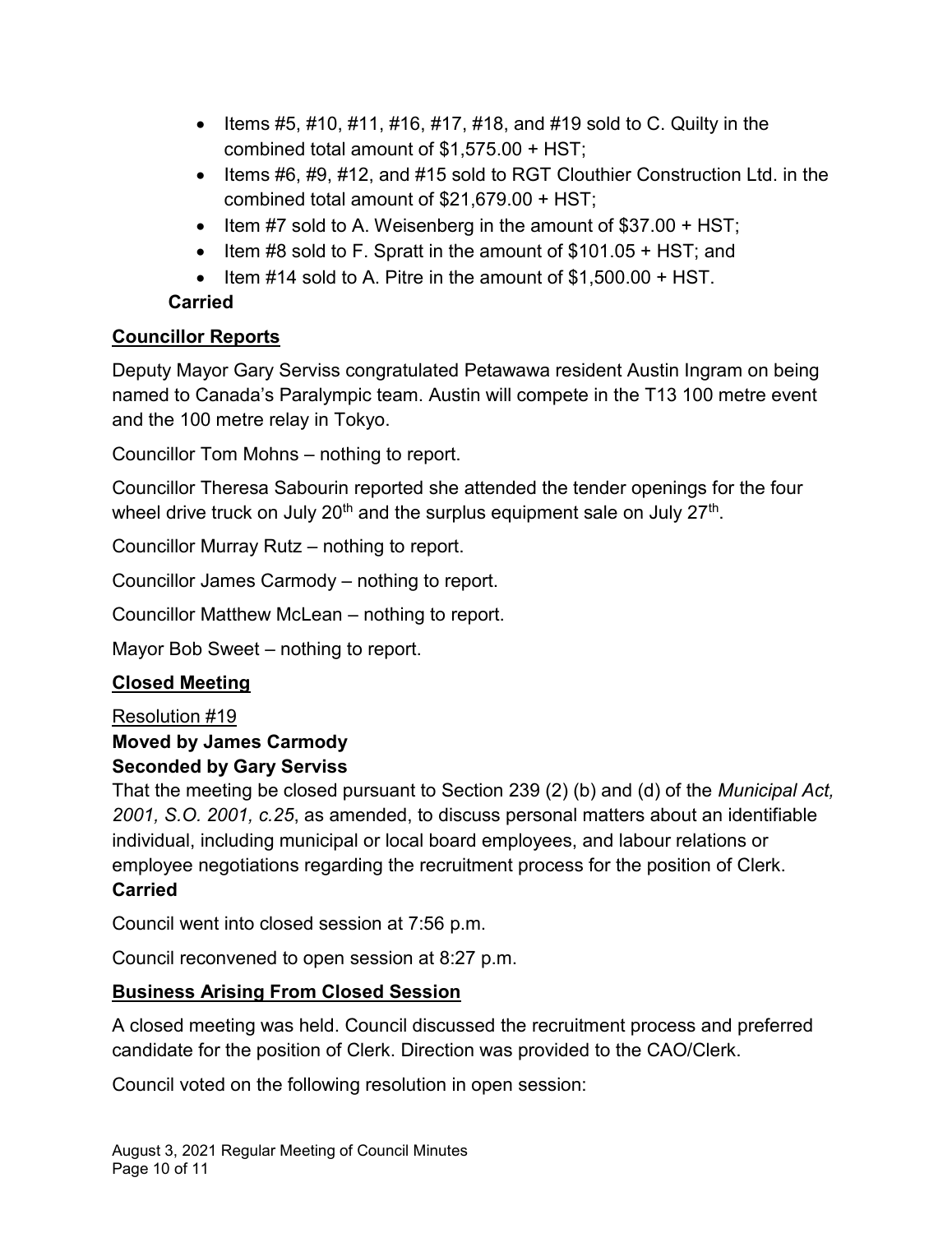- Items #5, #10, #11, #16, #17, #18, and #19 sold to C. Quilty in the combined total amount of \$1,575.00 + HST;
- Items #6, #9, #12, and #15 sold to RGT Clouthier Construction Ltd. in the combined total amount of \$21,679.00 + HST;
- Item #7 sold to A. Weisenberg in the amount of \$37.00 + HST;
- Item #8 sold to F. Spratt in the amount of  $$101.05 + HST$ ; and
- $\bullet$  Item #14 sold to A. Pitre in the amount of \$1,500,00 + HST.

# **Carried**

# **Councillor Reports**

Deputy Mayor Gary Serviss congratulated Petawawa resident Austin Ingram on being named to Canada's Paralympic team. Austin will compete in the T13 100 metre event and the 100 metre relay in Tokyo.

Councillor Tom Mohns – nothing to report.

Councillor Theresa Sabourin reported she attended the tender openings for the four wheel drive truck on July 20 $^{\text{th}}$  and the surplus equipment sale on July 27 $^{\text{th}}$ .

Councillor Murray Rutz – nothing to report.

Councillor James Carmody – nothing to report.

Councillor Matthew McLean – nothing to report.

Mayor Bob Sweet – nothing to report.

# **Closed Meeting**

# Resolution #19

### **Moved by James Carmody Seconded by Gary Serviss**

That the meeting be closed pursuant to Section 239 (2) (b) and (d) of the *Municipal Act, 2001, S.O. 2001, c.25*, as amended, to discuss personal matters about an identifiable individual, including municipal or local board employees, and labour relations or employee negotiations regarding the recruitment process for the position of Clerk. **Carried**

Council went into closed session at 7:56 p.m.

Council reconvened to open session at 8:27 p.m.

# **Business Arising From Closed Session**

A closed meeting was held. Council discussed the recruitment process and preferred candidate for the position of Clerk. Direction was provided to the CAO/Clerk.

Council voted on the following resolution in open session: